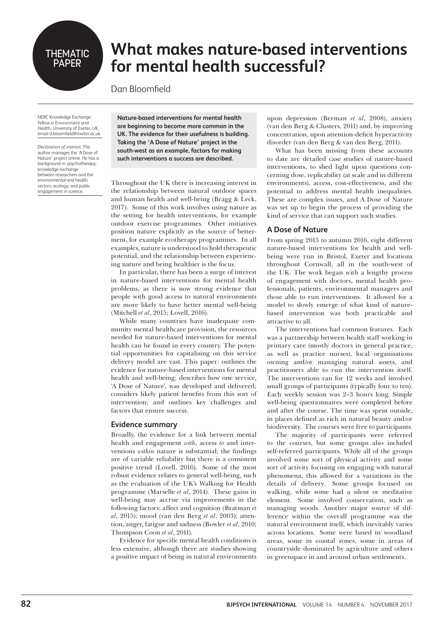# THEMATIC PAPER

# **What makes nature-based interventions for mental health successful?**

Dan Bloomfield

NERC Knowledge Exchange Fellow in Environment and Health, University of Exeter, UK, email d.bloomfield@exeter.ac.uk

*Declaration of interest*. The author manages the 'A Dose of Nature' project online. He has a background in: psychotherapy; knowledge exchange between researchers and the environmental and health sectors; ecology; and public engagement in science.

**Nature-based interventions for mental health are beginning to become more common in the UK. The evidence for their usefulness is building. Taking the 'A Dose of Nature' project in the south-west as an example, factors for making such interventions a success are described.**

Throughout the UK there is increasing interest in the relationship between natural outdoor spaces and human health and well-being (Bragg & Leck, 2017). Some of this work involves using nature as the setting for health interventions, for example outdoor exercise programmes. Other initiatives position nature explicitly as the source of betterment, for example ecotherapy programmes. In all examples, nature is understood to hold therapeutic potential, and the relationship between experiencing nature and being healthier is the focus.

In particular, there has been a surge of interest in nature-based interventions for mental health problems, as there is now strong evidence that people with good access to natural environments are more likely to have better mental well-being (Mitchell *et al*, 2015; Lovell, 2016).

While many countries have inadequate community mental healthcare provision, the resources needed for nature-based interventions for mental health can be found in every country. The potential opportunities for capitalising on this service delivery model are vast. This paper: outlines the evidence for nature-based interventions for mental health and well-being; describes how one service, 'A Dose of Nature', was developed and delivered; considers likely patient benefits from this sort of intervention; and outlines key challenges and factors that ensure success.

# **Evidence summary**

Broadly, the evidence for a link between mental health and engagement *with*, access *to* and interventions *within* nature is substantial; the findings are of variable reliability but there is a consistent positive trend (Lovell, 2016). Some of the most robust evidence relates to general well-being, such as the evaluation of the UK's Walking for Health programme (Marselle *et al*, 2014). These gains in well-being may accrue via improvements in the following factors: affect and cognition (Bratman *et al*, 2015); mood (van den Berg *et al*, 2003); attention, anger, fatigue and sadness (Bowler *et al*, 2010; Thompson Coon *et al*, 2011).

Evidence for specific mental health conditions is less extensive, although there are studies showing a positive impact of being in natural environments upon depression (Berman *et al*, 2008), anxiety (van den Berg & Clusters, 2011) and, by improving concentration, upon attention-deficit hyperactivity disorder (van den Berg & van den Berg, 2011).

What has been missing from these accounts to date are detailed case studies of nature-based interventions, to shed light upon questions concerning dose, replicability (at scale and in different environments), access, cost-effectiveness, and the potential to address mental health inequalities. These are complex issues, and A Dose of Nature was set up to begin the process of providing the kind of service that can support such studies.

# **A Dose of Nature**

From spring 2015 to autumn 2016, eight different nature-based interventions for health and wellbeing were run in Bristol, Exeter and locations throughout Cornwall, all in the south-west of the UK. The work began with a lengthy process of engagement with doctors, mental health professionals, patients, environmental managers and those able to run interventions. It allowed for a model to slowly emerge of what kind of naturebased intervention was both practicable and attractive to all.

The interventions had common features. Each was a partnership between health staff working in primary care (mostly doctors in general practice, as well as practice nurses), local organisations owning and/or managing natural assets, and practitioners able to run the intervention itself. The interventions ran for 12 weeks and involved small groups of participants (typically four to ten). Each weekly session was 2–3 hours long. Simple well-being questionnaires were completed before and after the course. The time was spent outside, in places defined as rich in natural beauty and/or biodiversity. The courses were free to participants.

The majority of participants were referred to the courses, but some groups also included self-referred participants. While all of the groups involved some sort of physical activity and some sort of activity focusing on engaging with natural phenomena, this allowed for a variations in the details of delivery. Some groups focused on walking, while some had a silent or meditative element. Some involved conservation, such as managing woods. Another major source of difference within the overall programme was the natural environment itself, which inevitably varies across locations. Some were based in woodland areas, some in coastal zones, some in areas of countryside dominated by agriculture and others in greenspace in and around urban settlements.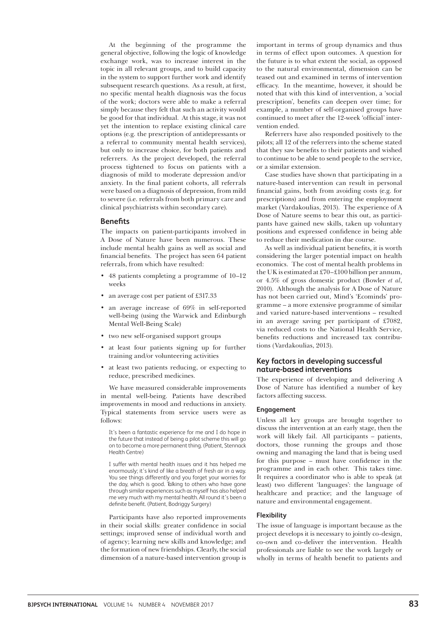At the beginning of the programme the general objective, following the logic of knowledge exchange work, was to increase interest in the topic in all relevant groups, and to build capacity in the system to support further work and identify subsequent research questions. As a result, at first, no specific mental health diagnosis was the focus of the work; doctors were able to make a referral simply because they felt that such an activity would be good for that individual. At this stage, it was not yet the intention to replace existing clinical care options (e.g. the prescription of antidepressants or a referral to community mental health services), but only to increase choice, for both patients and referrers. As the project developed, the referral process tightened to focus on patients with a diagnosis of mild to moderate depression and/or anxiety. In the final patient cohorts, all referrals were based on a diagnosis of depression, from mild to severe (i.e. referrals from both primary care and clinical psychiatrists within secondary care).

#### **Benefits**

The impacts on patient-participants involved in A Dose of Nature have been numerous. These include mental health gains as well as social and financial benefits. The project has seen 64 patient referrals, from which have resulted:

- 48 patients completing a programme of 10–12 weeks
- an average cost per patient of £317.33
- an average increase of 69% in self-reported well-being (using the Warwick and Edinburgh Mental Well-Being Scale)
- two new self-organised support groups
- at least four patients signing up for further training and/or volunteering activities
- at least two patients reducing, or expecting to reduce, prescribed medicines.

We have measured considerable improvements in mental well-being. Patients have described improvements in mood and reductions in anxiety. Typical statements from service users were as follows:

It's been a fantastic experience for me and I do hope in the future that instead of being a pilot scheme this will go on to become a more permanent thing. (Patient, Stennack Health Centre)

I suffer with mental health issues and it has helped me enormously; it's kind of like a breath of fresh air in a way. You see things differently and you forget your worries for the day, which is good. Talking to others who have gone through similar experiences such as myself has also helped me very much with my mental health. All round it's been a definite benefit. (Patient, Bodriggy Surgery)

Participants have also reported improvements in their social skills: greater confidence in social settings; improved sense of individual worth and of agency; learning new skills and knowledge; and the formation of new friendships. Clearly, the social dimension of a nature-based intervention group is important in terms of group dynamics and thus in terms of effect upon outcomes. A question for the future is to what extent the social, as opposed to the natural environmental, dimension can be teased out and examined in terms of intervention efficacy. In the meantime, however, it should be noted that with this kind of intervention, a 'social prescription', benefits can deepen over time; for example, a number of self-organised groups have continued to meet after the 12-week 'official' intervention ended.

Referrers have also responded positively to the pilots; all 12 of the referrers into the scheme stated that they saw benefits to their patients and wished to continue to be able to send people to the service, or a similar extension.

Case studies have shown that participating in a nature-based intervention can result in personal financial gains, both from avoiding costs (e.g. for prescriptions) and from entering the employment market (Vardakoulias, 2013). The experience of A Dose of Nature seems to bear this out, as participants have gained new skills, taken up voluntary positions and expressed confidence in being able to reduce their medication in due course.

As well as individual patient benefits, it is worth considering the larger potential impact on health economics. The cost of mental health problems in the UK is estimated at £70–£100 billion per annum, or 4.5% of gross domestic product (Bowler *et al*, 2010). Although the analysis for A Dose of Nature has not been carried out, Mind's 'Ecominds' programme – a more extensive programme of similar and varied nature-based interventions – resulted in an average saving per participant of £7082, via reduced costs to the National Health Service, benefits reductions and increased tax contributions (Vardakoulias, 2013).

# **Key factors in developing successful nature-based interventions**

The experience of developing and delivering A Dose of Nature has identified a number of key factors affecting success.

#### **Engagement**

Unless all key groups are brought together to discuss the intervention at an early stage, then the work will likely fail. All participants – patients, doctors, those running the groups and those owning and managing the land that is being used for this purpose – must have confidence in the programme and in each other. This takes time. It requires a coordinator who is able to speak (at least) two different 'languages': the language of healthcare and practice; and the language of nature and environmental engagement.

#### **Flexibility**

The issue of language is important because as the project develops it is necessary to jointly co-design, co-own and co-deliver the intervention. Health professionals are liable to see the work largely or wholly in terms of health benefit to patients and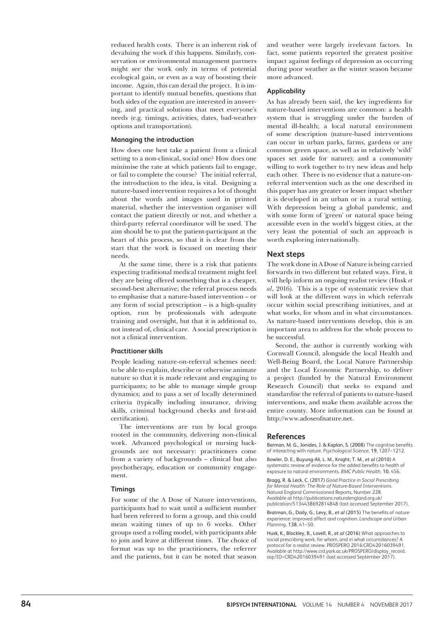reduced health costs. There is an inherent risk of devaluing the work if this happens. Similarly, conservation or environmental management partners might see the work only in terms of potential ecological gain, or even as a way of boosting their income. Again, this can derail the project. It is important to identify mutual benefits, questions that both sides of the equation are interested in answering, and practical solutions that meet everyone's needs (e.g. timings, activities, dates, bad-weather options and transportation).

#### **Managing the introduction**

How does one best take a patient from a clinical setting to a non-clinical, social one? How does one minimise the rate at which patients fail to engage, or fail to complete the course? The initial referral, the introduction to the idea, is vital. Designing a nature-based intervention requires a lot of thought about the words and images used in printed material, whether the intervention organiser will contact the patient directly or not, and whether a third-party referral coordinator will be used. The aim should be to put the patient-participant at the heart of this process, so that it is clear from the start that the work is focused on meeting their needs.

At the same time, there is a risk that patients expecting traditional medical treatment might feel they are being offered something that is a cheaper, second-best alternative; the referral process needs to emphasise that a nature-based intervention – or any form of social prescription – is a high-quality option, run by professionals with adequate training and oversight, but that it is additional to, not instead of, clinical care. A social prescription is not a clinical intervention.

## **Practitioner skills**

People leading nature-on-referral schemes need: to be able to explain, describe or otherwise animate nature so that it is made relevant and engaging to participants; to be able to manage simple group dynamics; and to pass a set of locally determined criteria (typically including insurance, driving skills, criminal background checks and first-aid certification).

The interventions are run by local groups rooted in the community, delivering non-clinical work. Advanced psychological or nursing backgrounds are not necessary: practitioners come from a variety of backgrounds – clinical but also psychotherapy, education or community engagement.

#### **Timings**

For some of the A Dose of Nature interventions, participants had to wait until a sufficient number had been referred to form a group, and this could mean waiting times of up to 6 weeks. Other groups used a rolling model, with participants able to join and leave at different times. The choice of format was up to the practitioners, the referrer and the patients, but it can be noted that season and weather were largely irrelevant factors. In fact, some patients reported the greatest positive impact against feelings of depression as occurring during poor weather as the winter season became more advanced.

### **Applicability**

As has already been said, the key ingredients for nature-based interventions are common: a health system that is struggling under the burden of mental ill-health; a local natural environment of some description (nature-based interventions can occur in urban parks, farms, gardens or any common green space, as well as in relatively 'wild' spaces set aside for nature); and a community willing to work together to try new ideas and help each other. There is no evidence that a nature-onreferral intervention such as the one described in this paper has any greater or lesser impact whether it is developed in an urban or in a rural setting. With depression being a global pandemic, and with some form of 'green' or natural space being accessible even in the world's biggest cities, at the very least the potential of such an approach is worth exploring internationally.

#### **Next steps**

The work done in A Dose of Nature is being carried forwards in two different but related ways. First, it will help inform an ongoing realist review (Husk *et al*, 2016). This is a type of systematic review that will look at the different ways in which referrals occur within social prescribing initiatives, and at what works, for whom and in what circumstances. As nature-based interventions develop, this is an important area to address for the whole process to be successful.

Second, the author is currently working with Cornwall Council, alongside the local Health and Well-Being Board, the Local Nature Partnership and the Local Economic Partnership, to deliver a project (funded by the Natural Environment Research Council) that seeks to expand and standardise the referral of patients to nature-based interventions, and make them available across the entire county. More information can be found at http://www.adoseofnature.net.

#### **References**

Berman, M. G., Jonides, J. & Kaplan, S. (2008) The cognitive benefits of interacting with nature. *Psychological Science*, 19, 1207–1212.

Bowler, D. E., Buyung-Ali, L. M., Knight, T. M., *et al* (2010) A systematic review of evidence for the added benefits to health of exposure to natural environments. *BMC Public Health*, 10, 456.

Bragg, R. & Leck, C. (2017) *Good Practice in Social Prescribing for Mental Health: The Role of Nature-Based Interventions*. Natural England Commissioned Reports, Number 228. Available at http://publications.naturalengland.org.uk/ publication/5134438692814848 (last accessed September 2017).

Bratman, G., Daily, G., Levy, B., *et al* (2015) The benefits of nature experience: improved affect and cognition. *Landscape and Urban Planning*, 138, 41–50.

Husk, K., Blockley, B., Lovell, R., *et al* (2016) What approaches to social prescribing work, for whom, and in what circumstances? A protocol for a realist review. PROSPERO 2016:CRD42016039491. Available at http://www.crd.york.ac.uk/PROSPERO/display\_record. asp?ID=CRD42016039491 (last accessed September 2017).